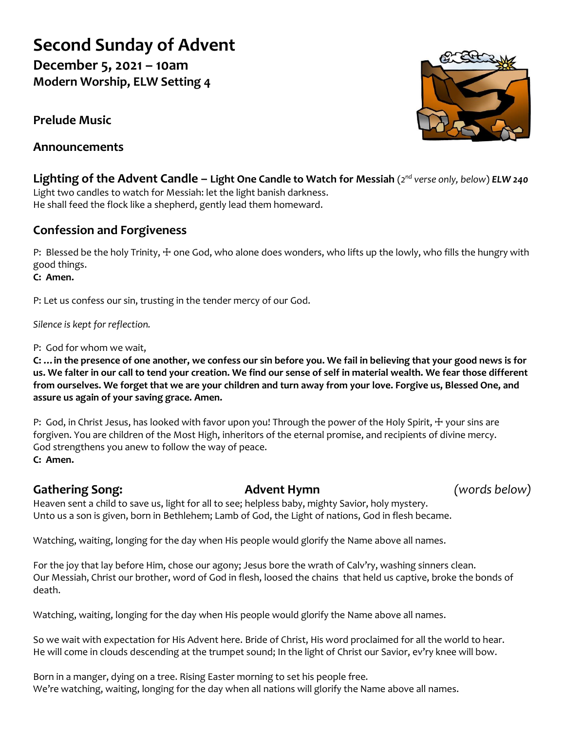# **Second Sunday of Advent**

**December 5, 2021 – 10am Modern Worship, ELW Setting 4**

**Prelude Music**

**Announcements**



**Lighting of the Advent Candle – Light One Candle to Watch for Messiah** (*2 nd verse only, below*) *ELW 240* Light two candles to watch for Messiah: let the light banish darkness. He shall feed the flock like a shepherd, gently lead them homeward.

**Confession and Forgiveness**

P: Blessed be the holy Trinity,  $\pm$  one God, who alone does wonders, who lifts up the lowly, who fills the hungry with good things.

**C: Amen.**

P: Let us confess our sin, trusting in the tender mercy of our God.

*Silence is kept for reflection.*

P: God for whom we wait,

**C: …in the presence of one another, we confess our sin before you. We fail in believing that your good news is for us. We falter in our call to tend your creation. We find our sense of self in material wealth. We fear those different from ourselves. We forget that we are your children and turn away from your love. Forgive us, Blessed One, and assure us again of your saving grace. Amen.**

P: God, in Christ Jesus, has looked with favor upon you! Through the power of the Holy Spirit, ⊹ your sins are forgiven. You are children of the Most High, inheritors of the eternal promise, and recipients of divine mercy. God strengthens you anew to follow the way of peace. **C: Amen.**

# **Gathering Song: Advent Hymn** *(words below)*

Heaven sent a child to save us, light for all to see; helpless baby, mighty Savior, holy mystery. Unto us a son is given, born in Bethlehem; Lamb of God, the Light of nations, God in flesh became.

Watching, waiting, longing for the day when His people would glorify the Name above all names.

For the joy that lay before Him, chose our agony; Jesus bore the wrath of Calv'ry, washing sinners clean. Our Messiah, Christ our brother, word of God in flesh, loosed the chains that held us captive, broke the bonds of death.

Watching, waiting, longing for the day when His people would glorify the Name above all names.

So we wait with expectation for His Advent here. Bride of Christ, His word proclaimed for all the world to hear. He will come in clouds descending at the trumpet sound; In the light of Christ our Savior, ev'ry knee will bow.

Born in a manger, dying on a tree. Rising Easter morning to set his people free. We're watching, waiting, longing for the day when all nations will glorify the Name above all names.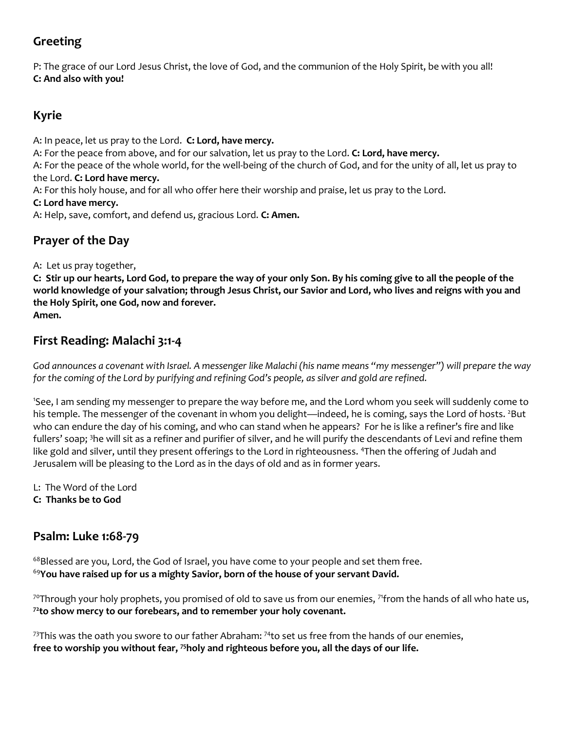# **Greeting**

P: The grace of our Lord Jesus Christ, the love of God, and the communion of the Holy Spirit, be with you all! **C: And also with you!**

# **Kyrie**

A: In peace, let us pray to the Lord. **C: Lord, have mercy.**

A: For the peace from above, and for our salvation, let us pray to the Lord. **C: Lord, have mercy.**

A: For the peace of the whole world, for the well-being of the church of God, and for the unity of all, let us pray to the Lord. **C: Lord have mercy.**

A: For this holy house, and for all who offer here their worship and praise, let us pray to the Lord.

### **C: Lord have mercy.**

A: Help, save, comfort, and defend us, gracious Lord. **C: Amen.**

# **Prayer of the Day**

A: Let us pray together,

**C: Stir up our hearts, Lord God, to prepare the way of your only Son. By his coming give to all the people of the world knowledge of your salvation; through Jesus Christ, our Savior and Lord, who lives and reigns with you and the Holy Spirit, one God, now and forever.**

**Amen.**

# **First Reading: Malachi 3:1-4**

God announces a covenant with Israel. A messenger like Malachi (his name means "my messenger") will prepare the way *for the coming of the Lord by purifying and refining God's people, as silver and gold are refined.*

<sup>1</sup>See, I am sending my messenger to prepare the way before me, and the Lord whom you seek will suddenly come to his temple. The messenger of the covenant in whom you delight—indeed, he is coming, says the Lord of hosts. <sup>2</sup>But who can endure the day of his coming, and who can stand when he appears? For he is like a refiner's fire and like fullers' soap; <sup>3</sup>he will sit as a refiner and purifier of silver, and he will purify the descendants of Levi and refine them like gold and silver, until they present offerings to the Lord in righteousness. <sup>4</sup>Then the offering of Judah and Jerusalem will be pleasing to the Lord as in the days of old and as in former years.

L: The Word of the Lord

**C: Thanks be to God**

# **Psalm: Luke 1:68-79**

 $68B$ lessed are you, Lord, the God of Israel, you have come to your people and set them free. <sup>69</sup>**You have raised up for us a mighty Savior, born of the house of your servant David.**

<sup>70</sup>Through your holy prophets, you promised of old to save us from our enemies, <sup>71</sup>from the hands of all who hate us, **<sup>72</sup>to show mercy to our forebears, and to remember your holy covenant.**

 $73$ This was the oath you swore to our father Abraham:  $74$ to set us free from the hands of our enemies, **free to worship you without fear, <sup>75</sup>holy and righteous before you, all the days of our life.**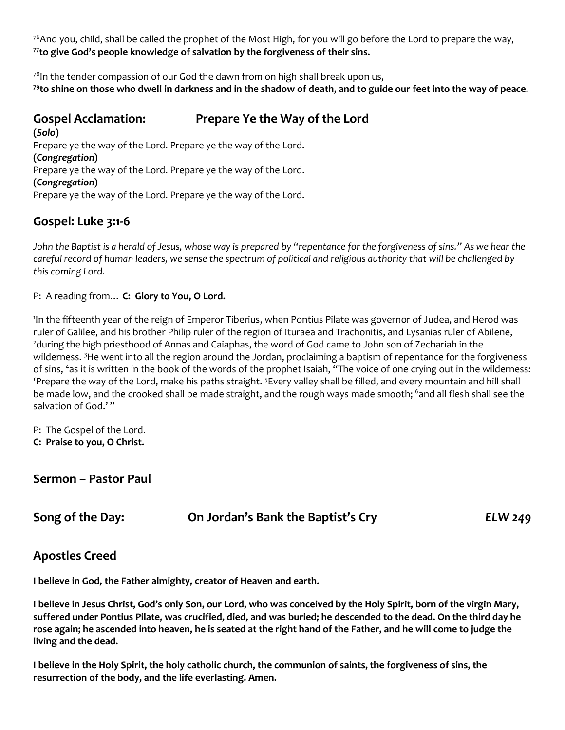$76$ And you, child, shall be called the prophet of the Most High, for you will go before the Lord to prepare the way, **<sup>77</sup>to give God's people knowledge of salvation by the forgiveness of their sins.**

 $7<sup>8</sup>$ In the tender compassion of our God the dawn from on high shall break upon us, **<sup>79</sup>to shine on those who dwell in darkness and in the shadow of death, and to guide our feet into the way of peace.**

**Gospel Acclamation: Prepare Ye the Way of the Lord (***Solo***)** Prepare ye the way of the Lord. Prepare ye the way of the Lord. **(***Congregation***)** Prepare ye the way of the Lord. Prepare ye the way of the Lord. **(***Congregation***)** Prepare ye the way of the Lord. Prepare ye the way of the Lord.

# **Gospel: Luke 3:1-6**

John the Baptist is a herald of Jesus, whose way is prepared by "repentance for the forgiveness of sins." As we hear the *careful record of human leaders, we sense the spectrum of political and religious authority that will be challenged by this coming Lord.*

P: A reading from… **C: Glory to You, O Lord.**

1 In the fifteenth year of the reign of Emperor Tiberius, when Pontius Pilate was governor of Judea, and Herod was ruler of Galilee, and his brother Philip ruler of the region of Ituraea and Trachonitis, and Lysanias ruler of Abilene, <sup>2</sup>during the high priesthood of Annas and Caiaphas, the word of God came to John son of Zechariah in the wilderness. <sup>3</sup>He went into all the region around the Jordan, proclaiming a baptism of repentance for the forgiveness of sins, <sup>4</sup>as it is written in the book of the words of the prophet Isaiah, "The voice of one crying out in the wilderness: 'Prepare the way of the Lord, make his paths straight. <sup>5</sup>Every valley shall be filled, and every mountain and hill shall be made low, and the crooked shall be made straight, and the rough ways made smooth; <sup>6</sup>and all flesh shall see the salvation of God.'"

P: The Gospel of the Lord. **C: Praise to you, O Christ.**

**Sermon – Pastor Paul**

**Song of the Day: On Jordan's Bank the Baptist's Cry** *ELW 249*

# **Apostles Creed**

**I believe in God, the Father almighty, creator of Heaven and earth.** 

**I believe in Jesus Christ, God's only Son, our Lord, who was conceived by the Holy Spirit, born of the virgin Mary, suffered under Pontius Pilate, was crucified, died, and was buried; he descended to the dead. On the third day he rose again; he ascended into heaven, he is seated at the right hand of the Father, and he will come to judge the living and the dead.**

**I believe in the Holy Spirit, the holy catholic church, the communion of saints, the forgiveness of sins, the resurrection of the body, and the life everlasting. Amen.**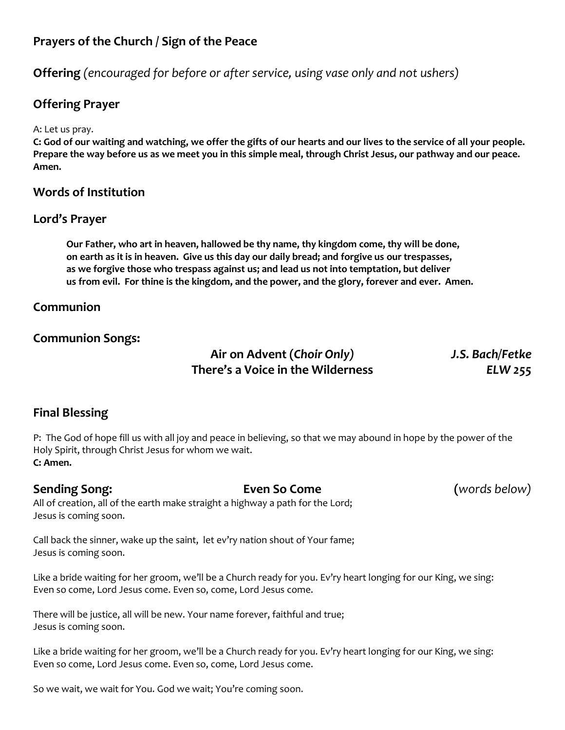# **Prayers of the Church / Sign of the Peace**

**Offering** *(encouraged for before or after service, using vase only and not ushers)*

# **Offering Prayer**

A: Let us pray.

**C: God of our waiting and watching, we offer the gifts of our hearts and our lives to the service of all your people. Prepare the way before us as we meet you in this simple meal, through Christ Jesus, our pathway and our peace. Amen.**

## **Words of Institution**

## **Lord's Prayer**

**Our Father, who art in heaven, hallowed be thy name, thy kingdom come, thy will be done, on earth as it is in heaven. Give us this day our daily bread; and forgive us our trespasses, as we forgive those who trespass against us; and lead us not into temptation, but deliver us from evil. For thine is the kingdom, and the power, and the glory, forever and ever. Amen.**

## **Communion**

## **Communion Songs:**

# **Air on Advent (***Choir Only) J.S. Bach/Fetke* **There's a Voice in the Wilderness** *ELW 255*

# **Final Blessing**

P: The God of hope fill us with all joy and peace in believing, so that we may abound in hope by the power of the Holy Spirit, through Christ Jesus for whom we wait. **C: Amen.**

### **Sending Song: Even So Come (***words below)*

All of creation, all of the earth make straight a highway a path for the Lord; Jesus is coming soon.

Call back the sinner, wake up the saint, let ev'ry nation shout of Your fame; Jesus is coming soon.

Like a bride waiting for her groom, we'll be a Church ready for you. Ev'ry heart longing for our King, we sing: Even so come, Lord Jesus come. Even so, come, Lord Jesus come.

There will be justice, all will be new. Your name forever, faithful and true; Jesus is coming soon.

Like a bride waiting for her groom, we'll be a Church ready for you. Ev'ry heart longing for our King, we sing: Even so come, Lord Jesus come. Even so, come, Lord Jesus come.

So we wait, we wait for You. God we wait; You're coming soon.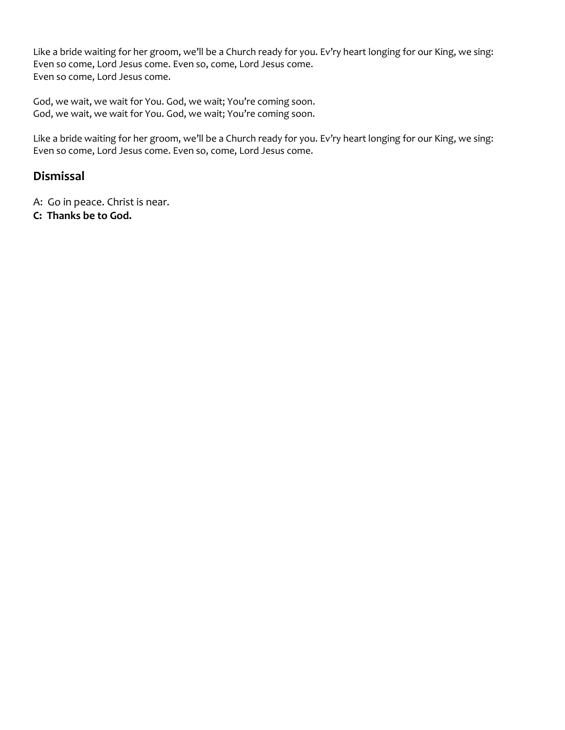Like a bride waiting for her groom, we'll be a Church ready for you. Ev'ry heart longing for our King, we sing: Even so come, Lord Jesus come. Even so, come, Lord Jesus come. Even so come, Lord Jesus come.

God, we wait, we wait for You. God, we wait; You're coming soon. God, we wait, we wait for You. God, we wait; You're coming soon.

Like a bride waiting for her groom, we'll be a Church ready for you. Ev'ry heart longing for our King, we sing: Even so come, Lord Jesus come. Even so, come, Lord Jesus come.

# **Dismissal**

A: Go in peace. Christ is near.

**C: Thanks be to God.**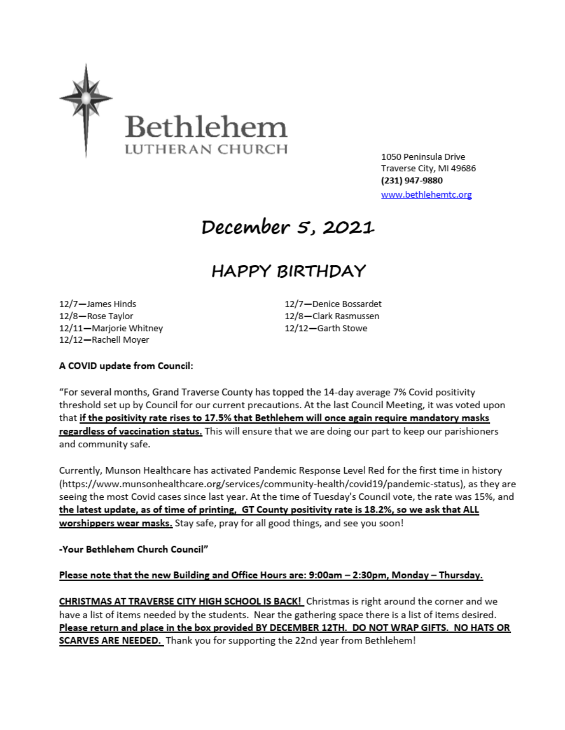

1050 Peninsula Drive Traverse City, MI 49686 (231) 947-9880 www.bethlehemtc.org

# December 5, 2021

# **HAPPY BIRTHDAY**

12/7-James Hinds 12/8-Rose Taylor 12/11-Marjorie Whitney 12/12-Rachell Moyer

12/7-Denice Bossardet 12/8-Clark Rasmussen 12/12-Garth Stowe

### A COVID update from Council:

"For several months, Grand Traverse County has topped the 14-day average 7% Covid positivity threshold set up by Council for our current precautions. At the last Council Meeting, it was voted upon that if the positivity rate rises to 17.5% that Bethlehem will once again require mandatory masks regardless of vaccination status. This will ensure that we are doing our part to keep our parishioners and community safe.

Currently, Munson Healthcare has activated Pandemic Response Level Red for the first time in history (https://www.munsonhealthcare.org/services/community-health/covid19/pandemic-status), as they are seeing the most Covid cases since last year. At the time of Tuesday's Council vote, the rate was 15%, and the latest update, as of time of printing, GT County positivity rate is 18.2%, so we ask that ALL worshippers wear masks. Stay safe, pray for all good things, and see you soon!

-Your Bethlehem Church Council"

### Please note that the new Building and Office Hours are: 9:00am – 2:30pm, Monday – Thursday.

**CHRISTMAS AT TRAVERSE CITY HIGH SCHOOL IS BACK!** Christmas is right around the corner and we have a list of items needed by the students. Near the gathering space there is a list of items desired. Please return and place in the box provided BY DECEMBER 12TH. DO NOT WRAP GIFTS. NO HATS OR SCARVES ARE NEEDED. Thank you for supporting the 22nd year from Bethlehem!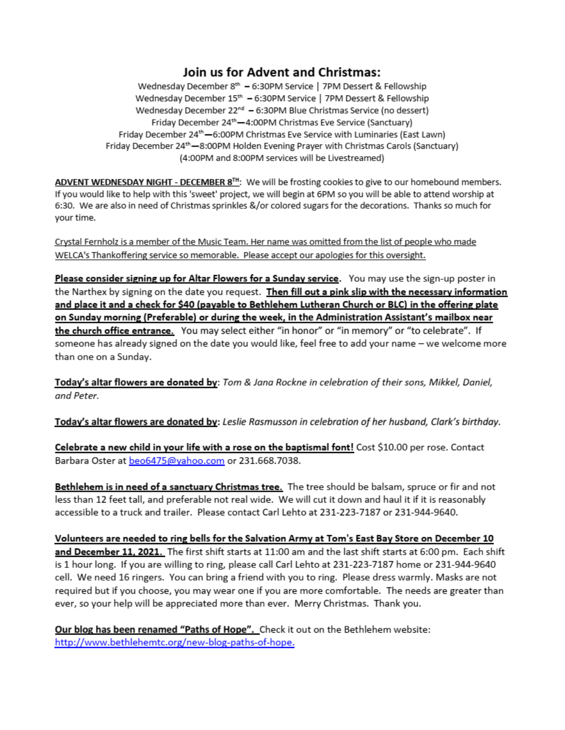# Join us for Advent and Christmas:

Wednesday December 8<sup>th</sup> - 6:30PM Service | 7PM Dessert & Fellowship Wednesday December 15<sup>th</sup> - 6:30PM Service | 7PM Dessert & Fellowship Wednesday December 22<sup>nd</sup> - 6:30PM Blue Christmas Service (no dessert) Friday December 24<sup>th</sup>-4:00PM Christmas Eve Service (Sanctuary) Friday December 24<sup>th</sup> -6:00PM Christmas Eve Service with Luminaries (East Lawn) Friday December 24<sup>th</sup> -8:00PM Holden Evening Prayer with Christmas Carols (Sanctuary) (4:00PM and 8:00PM services will be Livestreamed)

ADVENT WEDNESDAY NIGHT - DECEMBER 8TH: We will be frosting cookies to give to our homebound members. If you would like to help with this 'sweet' project, we will begin at 6PM so you will be able to attend worship at 6:30. We are also in need of Christmas sprinkles &/or colored sugars for the decorations. Thanks so much for your time.

Crystal Fernholz is a member of the Music Team. Her name was omitted from the list of people who made WELCA's Thankoffering service so memorable. Please accept our apologies for this oversight.

Please consider signing up for Altar Flowers for a Sunday service. You may use the sign-up poster in the Narthex by signing on the date you request. Then fill out a pink slip with the necessary information and place it and a check for \$40 (payable to Bethlehem Lutheran Church or BLC) in the offering plate on Sunday morning (Preferable) or during the week, in the Administration Assistant's mailbox near the church office entrance. You may select either "in honor" or "in memory" or "to celebrate". If someone has already signed on the date you would like, feel free to add your name – we welcome more than one on a Sunday.

Today's altar flowers are donated by: Tom & Jana Rockne in celebration of their sons, Mikkel, Daniel, and Peter.

Today's altar flowers are donated by: Leslie Rasmusson in celebration of her husband, Clark's birthday.

Celebrate a new child in your life with a rose on the baptismal font! Cost \$10.00 per rose. Contact Barbara Oster at beo6475@yahoo.com or 231.668.7038.

Bethlehem is in need of a sanctuary Christmas tree. The tree should be balsam, spruce or fir and not less than 12 feet tall, and preferable not real wide. We will cut it down and haul it if it is reasonably accessible to a truck and trailer. Please contact Carl Lehto at 231-223-7187 or 231-944-9640.

Volunteers are needed to ring bells for the Salvation Army at Tom's East Bay Store on December 10 and December 11, 2021. The first shift starts at 11:00 am and the last shift starts at 6:00 pm. Each shift is 1 hour long. If you are willing to ring, please call Carl Lehto at 231-223-7187 home or 231-944-9640 cell. We need 16 ringers. You can bring a friend with you to ring. Please dress warmly. Masks are not required but if you choose, you may wear one if you are more comfortable. The needs are greater than ever, so your help will be appreciated more than ever. Merry Christmas. Thank you.

Our blog has been renamed "Paths of Hope". Check it out on the Bethlehem website: http://www.bethlehemtc.org/new-blog-paths-of-hope.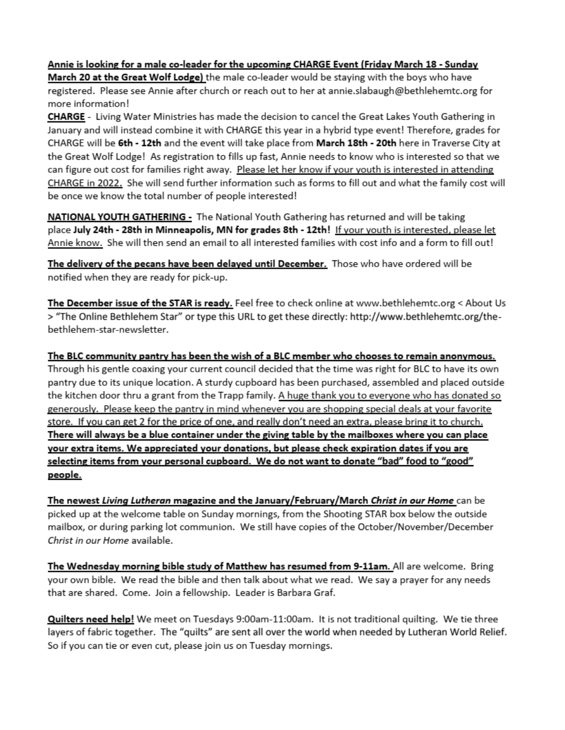Annie is looking for a male co-leader for the upcoming CHARGE Event (Friday March 18 - Sunday

March 20 at the Great Wolf Lodge) the male co-leader would be staying with the boys who have registered. Please see Annie after church or reach out to her at annie.slabaugh@bethlehemtc.org for more information!

CHARGE - Living Water Ministries has made the decision to cancel the Great Lakes Youth Gathering in January and will instead combine it with CHARGE this year in a hybrid type event! Therefore, grades for CHARGE will be 6th - 12th and the event will take place from March 18th - 20th here in Traverse City at the Great Wolf Lodge! As registration to fills up fast, Annie needs to know who is interested so that we can figure out cost for families right away. Please let her know if your youth is interested in attending CHARGE in 2022. She will send further information such as forms to fill out and what the family cost will be once we know the total number of people interested!

**NATIONAL YOUTH GATHERING -** The National Youth Gathering has returned and will be taking place July 24th - 28th in Minneapolis, MN for grades 8th - 12th! If your youth is interested, please let Annie know. She will then send an email to all interested families with cost info and a form to fill out!

The delivery of the pecans have been delayed until December. Those who have ordered will be notified when they are ready for pick-up.

The December issue of the STAR is ready. Feel free to check online at www.bethlehemtc.org < About Us > "The Online Bethlehem Star" or type this URL to get these directly: http://www.bethlehemtc.org/thebethlehem-star-newsletter.

The BLC community pantry has been the wish of a BLC member who chooses to remain anonymous. Through his gentle coaxing your current council decided that the time was right for BLC to have its own pantry due to its unique location. A sturdy cupboard has been purchased, assembled and placed outside the kitchen door thru a grant from the Trapp family. A huge thank you to everyone who has donated so generously. Please keep the pantry in mind whenever you are shopping special deals at your favorite store. If you can get 2 for the price of one, and really don't need an extra, please bring it to church. There will always be a blue container under the giving table by the mailboxes where you can place your extra items. We appreciated your donations, but please check expiration dates if you are selecting items from your personal cupboard. We do not want to donate "bad" food to "good" people.

The newest Living Lutheran magazine and the January/February/March Christ in our Home can be picked up at the welcome table on Sunday mornings, from the Shooting STAR box below the outside mailbox, or during parking lot communion. We still have copies of the October/November/December Christ in our Home available.

The Wednesday morning bible study of Matthew has resumed from 9-11am. All are welcome. Bring your own bible. We read the bible and then talk about what we read. We say a prayer for any needs that are shared. Come. Join a fellowship. Leader is Barbara Graf.

**Quilters need help!** We meet on Tuesdays 9:00am-11:00am. It is not traditional quilting. We tie three layers of fabric together. The "quilts" are sent all over the world when needed by Lutheran World Relief. So if you can tie or even cut, please join us on Tuesday mornings.